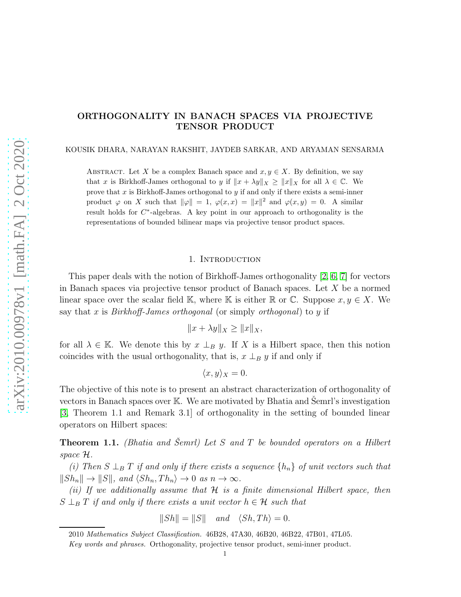## ORTHOGONALITY IN BANACH SPACES VIA PROJECTIVE TENSOR PRODUCT

KOUSIK DHARA, NARAYAN RAKSHIT, JAYDEB SARKAR, AND ARYAMAN SENSARMA

ABSTRACT. Let X be a complex Banach space and  $x, y \in X$ . By definition, we say that x is Birkhoff-James orthogonal to y if  $||x + \lambda y||_X \ge ||x||_X$  for all  $\lambda \in \mathbb{C}$ . We prove that  $x$  is Birkhoff-James orthogonal to  $y$  if and only if there exists a semi-inner product  $\varphi$  on X such that  $\|\varphi\| = 1$ ,  $\varphi(x, x) = \|x\|^2$  and  $\varphi(x, y) = 0$ . A similar result holds for  $C^*$ -algebras. A key point in our approach to orthogonality is the representations of bounded bilinear maps via projective tensor product spaces.

## 1. Introduction

This paper deals with the notion of Birkhoff-James orthogonality [\[2,](#page-6-0) [6,](#page-6-1) [7\]](#page-6-2) for vectors in Banach spaces via projective tensor product of Banach spaces. Let  $X$  be a normed linear space over the scalar field K, where K is either R or C. Suppose  $x, y \in X$ . We say that x is *Birkhoff-James orthogonal* (or simply *orthogonal*) to y if

$$
||x + \lambda y||_X \ge ||x||_X,
$$

for all  $\lambda \in \mathbb{K}$ . We denote this by  $x \perp_B y$ . If X is a Hilbert space, then this notion coincides with the usual orthogonality, that is,  $x \perp_B y$  if and only if

 $\langle x, y \rangle_X = 0.$ 

The objective of this note is to present an abstract characterization of orthogonality of vectors in Banach spaces over  $K$ . We are motivated by Bhatia and Semrl's investigation [\[3,](#page-6-3) Theorem 1.1 and Remark 3.1] of orthogonality in the setting of bounded linear operators on Hilbert spaces:

<span id="page-0-0"></span>**Theorem 1.1.** (Bhatia and Šemrl) Let S and T be bounded operators on a Hilbert space H.

(i) Then  $S \perp_B T$  if and only if there exists a sequence  $\{h_n\}$  of unit vectors such that  $||Sh_n|| \to ||S||$ , and  $\langle Sh_n, Th_n \rangle \to 0$  as  $n \to \infty$ .

(ii) If we additionally assume that  $H$  is a finite dimensional Hilbert space, then  $S \perp_B T$  if and only if there exists a unit vector  $h \in \mathcal{H}$  such that

$$
||Sh|| = ||S|| \quad and \quad \langle Sh, Th \rangle = 0.
$$

<sup>2010</sup> Mathematics Subject Classification. 46B28, 47A30, 46B20, 46B22, 47B01, 47L05.

Key words and phrases. Orthogonality, projective tensor product, semi-inner product.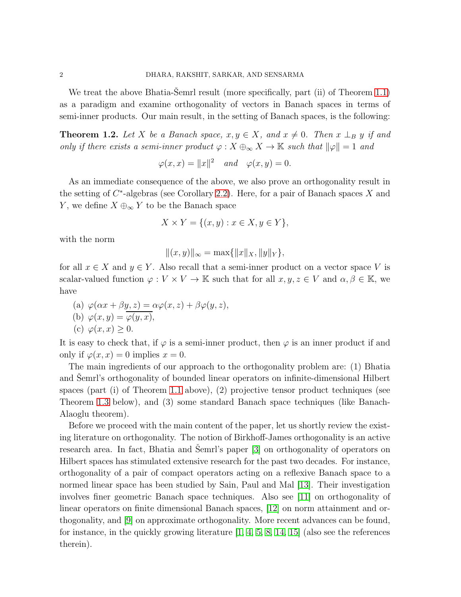We treat the above Bhatia-Semrl result (more specifically, part  $(ii)$ ) of Theorem [1.1\)](#page-0-0) as a paradigm and examine orthogonality of vectors in Banach spaces in terms of semi-inner products. Our main result, in the setting of Banach spaces, is the following:

<span id="page-1-0"></span>**Theorem 1.2.** Let X be a Banach space,  $x, y \in X$ , and  $x \neq 0$ . Then  $x \perp_B y$  if and only if there exists a semi-inner product  $\varphi: X \oplus_{\infty} X \to \mathbb{K}$  such that  $\|\varphi\| = 1$  and

$$
\varphi(x, x) = ||x||^2 \quad and \quad \varphi(x, y) = 0.
$$

As an immediate consequence of the above, we also prove an orthogonality result in the setting of  $C^*$ -algebras (see Corollary [2.2\)](#page-5-0). Here, for a pair of Banach spaces X and Y, we define  $X \oplus_{\infty} Y$  to be the Banach space

$$
X \times Y = \{(x, y) : x \in X, y \in Y\},\
$$

with the norm

$$
|| (x, y) ||_{\infty} = \max{||x||_X, ||y||_Y},
$$

for all  $x \in X$  and  $y \in Y$ . Also recall that a semi-inner product on a vector space V is scalar-valued function  $\varphi: V \times V \to \mathbb{K}$  such that for all  $x, y, z \in V$  and  $\alpha, \beta \in \mathbb{K}$ , we have

(a)  $\varphi(\alpha x + \beta y, z) = \alpha \varphi(x, z) + \beta \varphi(y, z),$ (b)  $\varphi(x, y) = \varphi(y, x),$ (c)  $\varphi(x, x) \geq 0$ .

It is easy to check that, if  $\varphi$  is a semi-inner product, then  $\varphi$  is an inner product if and only if  $\varphi(x, x) = 0$  implies  $x = 0$ .

The main ingredients of our approach to the orthogonality problem are: (1) Bhatia and Semrl's orthogonality of bounded linear operators on infinite-dimensional Hilbert spaces (part (i) of Theorem [1.1](#page-0-0) above), (2) projective tensor product techniques (see Theorem [1.3](#page-2-0) below), and (3) some standard Banach space techniques (like Banach-Alaoglu theorem).

Before we proceed with the main content of the paper, let us shortly review the existing literature on orthogonality. The notion of Birkhoff-James orthogonality is an active research area. In fact, Bhatia and Semrl's paper  $[3]$  on orthogonality of operators on Hilbert spaces has stimulated extensive research for the past two decades. For instance, orthogonality of a pair of compact operators acting on a reflexive Banach space to a normed linear space has been studied by Sain, Paul and Mal [\[13\]](#page-6-4). Their investigation involves finer geometric Banach space techniques. Also see [\[11\]](#page-6-5) on orthogonality of linear operators on finite dimensional Banach spaces, [\[12\]](#page-6-6) on norm attainment and orthogonality, and [\[9\]](#page-6-7) on approximate orthogonality. More recent advances can be found, for instance, in the quickly growing literature [\[1,](#page-6-8) [4,](#page-6-9) [5,](#page-6-10) [8,](#page-6-11) [14,](#page-6-12) [15\]](#page-6-13) (also see the references therein).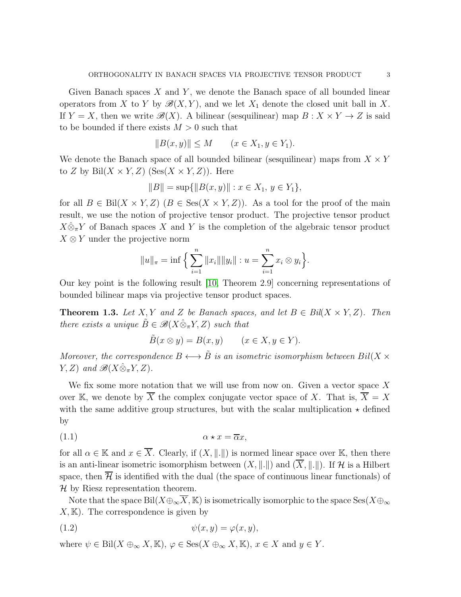Given Banach spaces  $X$  and  $Y$ , we denote the Banach space of all bounded linear operators from X to Y by  $\mathscr{B}(X, Y)$ , and we let  $X_1$  denote the closed unit ball in X. If  $Y = X$ , then we write  $\mathscr{B}(X)$ . A bilinear (sesquilinear) map  $B : X \times Y \to Z$  is said to be bounded if there exists  $M > 0$  such that

$$
||B(x, y)|| \le M \qquad (x \in X_1, y \in Y_1).
$$

We denote the Banach space of all bounded bilinear (sesquilinear) maps from  $X \times Y$ to Z by Bil $(X \times Y, Z)$  (Ses $(X \times Y, Z)$ ). Here

$$
||B|| = \sup{||B(x, y)|| : x \in X_1, y \in Y_1},
$$

for all  $B \in \text{Bil}(X \times Y, Z)$   $(B \in \text{Ses}(X \times Y, Z))$ . As a tool for the proof of the main result, we use the notion of projective tensor product. The projective tensor product  $X\hat{\otimes}_{\pi}Y$  of Banach spaces X and Y is the completion of the algebraic tensor product  $X \otimes Y$  under the projective norm

$$
||u||_{\pi} = \inf \left\{ \sum_{i=1}^{n} ||x_i|| ||y_i|| : u = \sum_{i=1}^{n} x_i \otimes y_i \right\}.
$$

Our key point is the following result [\[10,](#page-6-14) Theorem 2.9] concerning representations of bounded bilinear maps via projective tensor product spaces.

<span id="page-2-0"></span>**Theorem 1.3.** Let X, Y and Z be Banach spaces, and let  $B \in Bil(X \times Y, Z)$ . Then there exists a unique  $\tilde{B} \in \mathcal{B}(X \hat{\otimes}_{\pi} Y, Z)$  such that

$$
\tilde{B}(x \otimes y) = B(x, y) \qquad (x \in X, y \in Y).
$$

Moreover, the correspondence  $B \longleftrightarrow \tilde{B}$  is an isometric isomorphism between  $Bil(X \times$  $Y, Z$ ) and  $\mathscr{B}(X \hat{\otimes}_{\pi} Y, Z)$ .

We fix some more notation that we will use from now on. Given a vector space  $X$ over K, we denote by  $\overline{X}$  the complex conjugate vector space of X. That is,  $\overline{X} = X$ with the same additive group structures, but with the scalar multiplication  $\star$  defined by

(1.1) α ⋆ x = αx,

for all  $\alpha \in \mathbb{K}$  and  $x \in \overline{X}$ . Clearly, if  $(X, \|\cdot\|)$  is normed linear space over K, then there is an anti-linear isometric isomorphism between  $(X, \|.\|)$  and  $(\overline{X}, \|.\|)$ . If H is a Hilbert space, then  $\overline{\mathcal{H}}$  is identified with the dual (the space of continuous linear functionals) of  $H$  by Riesz representation theorem.

Note that the space Bil( $X\oplus_{\infty}\overline{X}$ , K) is isometrically isomorphic to the space Ses( $X\oplus_{\infty}$  $X, \mathbb{K}$ . The correspondence is given by

<span id="page-2-1"></span>
$$
(1.2) \t\t\t \psi(x,y) = \varphi(x,y),
$$

where  $\psi \in \text{Bil}(X \oplus_{\infty} X, \mathbb{K}), \varphi \in \text{Ses}(X \oplus_{\infty} X, \mathbb{K}), x \in X$  and  $y \in Y$ .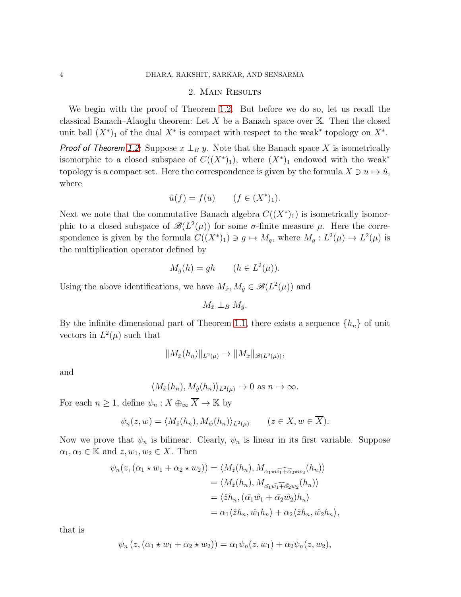## 2. Main Results

We begin with the proof of Theorem [1.2.](#page-1-0) But before we do so, let us recall the classical Banach–Alaoglu theorem: Let X be a Banach space over  $\mathbb{K}$ . Then the closed unit ball  $(X^*)$  of the dual  $X^*$  is compact with respect to the weak<sup>\*</sup> topology on  $X^*$ .

*Proof of Theorem [1.2:](#page-1-0)* Suppose  $x \perp_B y$ . Note that the Banach space X is isometrically isomorphic to a closed subspace of  $C((X^*)_1)$ , where  $(X^*)_1$  endowed with the weak<sup>\*</sup> topology is a compact set. Here the correspondence is given by the formula  $X \ni u \mapsto \hat{u}$ , where

$$
\hat{u}(f) = f(u) \qquad (f \in (X^*)_1).
$$

Next we note that the commutative Banach algebra  $C((X^*)_1)$  is isometrically isomorphic to a closed subspace of  $\mathscr{B}(L^2(\mu))$  for some  $\sigma$ -finite measure  $\mu$ . Here the correspondence is given by the formula  $C((X^*)_1) \ni g \mapsto M_g$ , where  $M_g: L^2(\mu) \to L^2(\mu)$  is the multiplication operator defined by

$$
M_g(h) = gh \qquad (h \in L^2(\mu)).
$$

Using the above identifications, we have  $M_{\hat{x}}$ ,  $M_{\hat{y}} \in \mathscr{B}(L^2(\mu))$  and

$$
M_{\hat{x}} \perp_B M_{\hat{y}}.
$$

By the infinite dimensional part of Theorem [1.1,](#page-0-0) there exists a sequence  $\{h_n\}$  of unit vectors in  $L^2(\mu)$  such that

$$
||M_{\hat{x}}(h_n)||_{L^2(\mu)} \to ||M_{\hat{x}}||_{\mathscr{B}(L^2(\mu))},
$$

and

$$
\langle M_{\hat{x}}(h_n), M_{\hat{y}}(h_n) \rangle_{L^2(\mu)} \to 0 \text{ as } n \to \infty.
$$

For each  $n\geq 1,$  define  $\psi_n:X\oplus_\infty \overline{X}\to \mathbb{K}$  by

$$
\psi_n(z, w) = \langle M_{\hat{z}}(h_n), M_{\hat{w}}(h_n) \rangle_{L^2(\mu)} \qquad (z \in X, w \in \overline{X}).
$$

Now we prove that  $\psi_n$  is bilinear. Clearly,  $\psi_n$  is linear in its first variable. Suppose  $\alpha_1, \alpha_2 \in \mathbb{K}$  and  $z, w_1, w_2 \in X$ . Then

$$
\psi_n(z, (\alpha_1 \star w_1 + \alpha_2 \star w_2)) = \langle M_{\hat{z}}(h_n), M_{\alpha_1 \star \hat{w_1} + \alpha_2 \star w_2}(h_n) \rangle
$$
  
\n
$$
= \langle M_{\hat{z}}(h_n), M_{\alpha_1 \hat{w_1} + \alpha_2 w_2}(h_n) \rangle
$$
  
\n
$$
= \langle \hat{z} h_n, (\bar{\alpha_1} \hat{w_1} + \bar{\alpha_2} \hat{w_2}) h_n \rangle
$$
  
\n
$$
= \alpha_1 \langle \hat{z} h_n, \hat{w_1} h_n \rangle + \alpha_2 \langle \hat{z} h_n, \hat{w_2} h_n \rangle,
$$

that is

$$
\psi_n(z, (\alpha_1 \star w_1 + \alpha_2 \star w_2)) = \alpha_1 \psi_n(z, w_1) + \alpha_2 \psi_n(z, w_2),
$$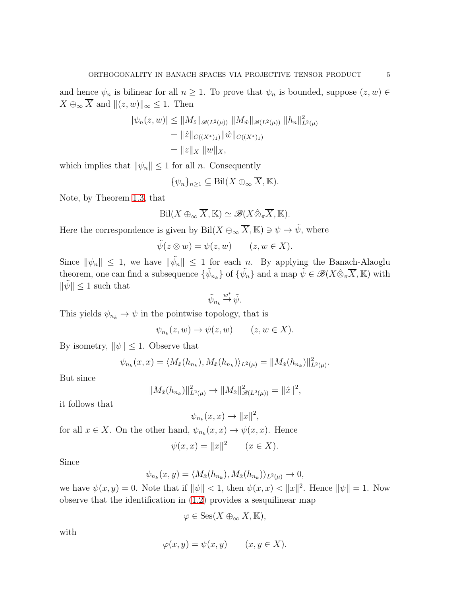and hence  $\psi_n$  is bilinear for all  $n \geq 1$ . To prove that  $\psi_n$  is bounded, suppose  $(z, w) \in$  $X \oplus_{\infty} \overline{X}$  and  $||(z, w)||_{\infty} \leq 1$ . Then

$$
|\psi_n(z, w)| \le ||M_{\hat{z}}||_{\mathcal{B}(L^2(\mu))} ||M_{\hat{w}}||_{\mathcal{B}(L^2(\mu))} ||h_n||_{L^2(\mu)}^2
$$
  
=  $||\hat{z}||_{C((X^*)_1)} ||\hat{w}||_{C((X^*)_1)}$   
=  $||z||_X ||w||_X$ ,

which implies that  $\|\psi_n\| \leq 1$  for all n. Consequently

$$
\{\psi_n\}_{n\geq 1} \subseteq \text{Bil}(X \oplus_{\infty} \overline{X}, \mathbb{K}).
$$

Note, by Theorem [1.3,](#page-2-0) that

$$
\mathrm{Bil}(X\oplus_{\infty}\overline{X},\mathbb{K})\simeq\mathscr{B}(X\hat{\otimes}_{\pi}\overline{X},\mathbb{K}).
$$

Here the correspondence is given by Bil $(X \oplus_{\infty} \overline{X}, \mathbb{K}) \ni \psi \mapsto \tilde{\psi}$ , where

$$
\tilde{\psi}(z \otimes w) = \psi(z, w) \qquad (z, w \in X).
$$

Since  $\|\psi_n\| \leq 1$ , we have  $\|\tilde{\psi}_n\| \leq 1$  for each n. By applying the Banach-Alaoglu theorem, one can find a subsequence  $\{\tilde{\psi}_{n_k}\}$  of  $\{\tilde{\psi}_n\}$  and a map  $\tilde{\psi} \in \mathscr{B}(X \hat{\otimes}_{\pi} \overline{X}, \mathbb{K})$  with  $\|\tilde{\psi}\| \leq 1$  such that

$$
\tilde{\psi}_{n_k}\stackrel{w^*}{\rightarrow}\tilde{\psi}.
$$

This yields  $\psi_{n_k}\to \psi$  in the pointwise topology, that is

$$
\psi_{n_k}(z, w) \to \psi(z, w) \qquad (z, w \in X).
$$

By isometry,  $\|\psi\| \leq 1$ . Observe that

$$
\psi_{n_k}(x,x) = \langle M_{\hat{x}}(h_{n_k}), M_{\hat{x}}(h_{n_k}) \rangle_{L^2(\mu)} = ||M_{\hat{x}}(h_{n_k})||^2_{L^2(\mu)}.
$$

But since

$$
||M_{\hat{x}}(h_{n_k})||_{L^2(\mu)}^2 \to ||M_{\hat{x}}||_{\mathscr{B}(L^2(\mu))}^2 = ||\hat{x}||^2,
$$

it follows that

$$
\psi_{n_k}(x,x) \to ||x||^2,
$$

for all  $x \in X$ . On the other hand,  $\psi_{n_k}(x, x) \to \psi(x, x)$ . Hence

$$
\psi(x, x) = ||x||^2 \qquad (x \in X).
$$

Since

$$
\psi_{n_k}(x,y) = \langle M_{\hat{x}}(h_{n_k}), M_{\hat{x}}(h_{n_k}) \rangle_{L^2(\mu)} \to 0,
$$

we have  $\psi(x, y) = 0$ . Note that if  $\|\psi\| < 1$ , then  $\psi(x, x) < \|x\|^2$ . Hence  $\|\psi\| = 1$ . Now observe that the identification in [\(1.2\)](#page-2-1) provides a sesquilinear map

$$
\varphi \in \mathrm{Ses}(X \oplus_{\infty} X, \mathbb{K}),
$$

with

$$
\varphi(x, y) = \psi(x, y) \qquad (x, y \in X).
$$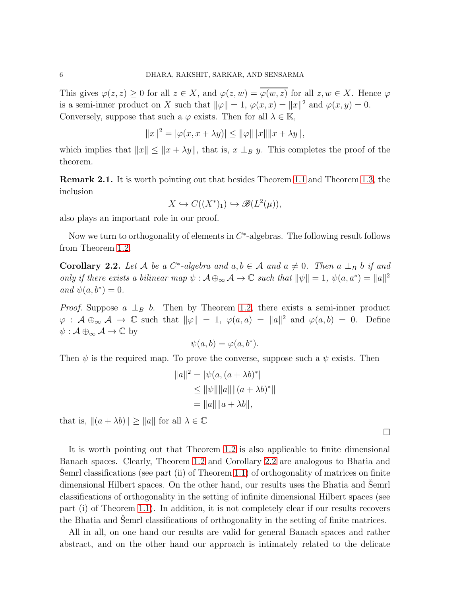This gives  $\varphi(z, z) \geq 0$  for all  $z \in X$ , and  $\varphi(z, w) = \overline{\varphi(w, z)}$  for all  $z, w \in X$ . Hence  $\varphi$ is a semi-inner product on X such that  $\|\varphi\| = 1$ ,  $\varphi(x, x) = \|x\|^2$  and  $\varphi(x, y) = 0$ . Conversely, suppose that such a  $\varphi$  exists. Then for all  $\lambda \in \mathbb{K}$ ,

$$
||x||^{2} = |\varphi(x, x + \lambda y)| \le ||\varphi|| ||x|| ||x + \lambda y||,
$$

which implies that  $||x|| \le ||x + \lambda y||$ , that is,  $x \perp_B y$ . This completes the proof of the theorem.

Remark 2.1. It is worth pointing out that besides Theorem [1.1](#page-0-0) and Theorem [1.3,](#page-2-0) the inclusion

$$
X \hookrightarrow C((X^*)_1) \hookrightarrow \mathscr{B}(L^2(\mu)),
$$

also plays an important role in our proof.

Now we turn to orthogonality of elements in  $C^*$ -algebras. The following result follows from Theorem [1.2.](#page-1-0)

<span id="page-5-0"></span>**Corollary 2.2.** Let A be a C<sup>\*</sup>-algebra and  $a, b \in A$  and  $a \neq 0$ . Then  $a \perp_B b$  if and only if there exists a bilinear map  $\psi : A \oplus_{\infty} A \to \mathbb{C}$  such that  $\|\psi\| = 1$ ,  $\psi(a, a^*) = \|a\|^2$ and  $\psi(a, b^*) = 0$ .

*Proof.* Suppose  $a \perp_B b$ . Then by Theorem [1.2,](#page-1-0) there exists a semi-inner product  $\varphi : A \oplus_{\infty} A \to \mathbb{C}$  such that  $\|\varphi\| = 1$ ,  $\varphi(a, a) = \|a\|^2$  and  $\varphi(a, b) = 0$ . Define  $\psi : A \oplus_{\infty} A \to \mathbb{C}$  by

$$
\psi(a,b) = \varphi(a,b^*).
$$

Then  $\psi$  is the required map. To prove the converse, suppose such a  $\psi$  exists. Then

$$
||a||2 = |\psi(a, (a + \lambda b)*|\le ||\psi|| ||a|||| (a + \lambda b)*||= ||a||||a + \lambda b||,
$$

that is,  $||(a + \lambda b)|| \ge ||a||$  for all  $\lambda \in \mathbb{C}$ 

It is worth pointing out that Theorem [1.2](#page-1-0) is also applicable to finite dimensional Banach spaces. Clearly, Theorem [1.2](#page-1-0) and Corollary [2.2](#page-5-0) are analogous to Bhatia and Semrl classifications (see part  $(ii)$  of Theorem [1.1\)](#page-0-0) of orthogonality of matrices on finite dimensional Hilbert spaces. On the other hand, our results uses the Bhatia and Semrl classifications of orthogonality in the setting of infinite dimensional Hilbert spaces (see part (i) of Theorem [1.1\)](#page-0-0). In addition, it is not completely clear if our results recovers the Bhatia and Semrl classifications of orthogonality in the setting of finite matrices.

All in all, on one hand our results are valid for general Banach spaces and rather abstract, and on the other hand our approach is intimately related to the delicate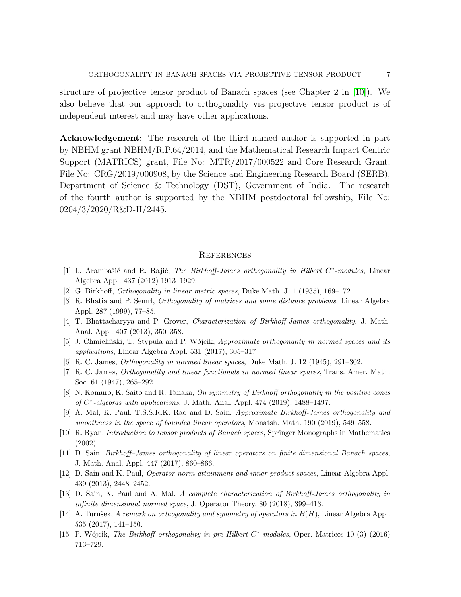structure of projective tensor product of Banach spaces (see Chapter 2 in [\[10\]](#page-6-14)). We also believe that our approach to orthogonality via projective tensor product is of independent interest and may have other applications.

Acknowledgement: The research of the third named author is supported in part by NBHM grant NBHM/R.P.64/2014, and the Mathematical Research Impact Centric Support (MATRICS) grant, File No: MTR/2017/000522 and Core Research Grant, File No: CRG/2019/000908, by the Science and Engineering Research Board (SERB), Department of Science & Technology (DST), Government of India. The research of the fourth author is supported by the NBHM postdoctoral fellowship, File No: 0204/3/2020/R&D-II/2445.

## **REFERENCES**

- <span id="page-6-8"></span>[1] L. Arambašić and R. Rajić, The Birkhoff-James orthogonality in Hilbert  $C^*$ -modules, Linear Algebra Appl. 437 (2012) 1913–1929.
- <span id="page-6-3"></span><span id="page-6-0"></span>[2] G. Birkhoff, Orthogonality in linear metric spaces, Duke Math. J. 1 (1935), 169–172.
- <span id="page-6-9"></span>[3] R. Bhatia and P. Semrl, *Orthogonality of matrices and some distance problems*, Linear Algebra Appl. 287 (1999), 77–85.
- <span id="page-6-10"></span>[4] T. Bhattacharyya and P. Grover, Characterization of Birkhoff-James orthogonality, J. Math. Anal. Appl. 407 (2013), 350–358.
- <span id="page-6-1"></span>[5] J. Chmieliński, T. Stypuła and P. Wójcik, Approximate orthogonality in normed spaces and its applications, Linear Algebra Appl. 531 (2017), 305–317
- <span id="page-6-2"></span>[6] R. C. James, Orthogonality in normed linear spaces, Duke Math. J. 12 (1945), 291–302.
- <span id="page-6-11"></span>[7] R. C. James, Orthogonality and linear functionals in normed linear spaces, Trans. Amer. Math. Soc. 61 (1947), 265–292.
- <span id="page-6-7"></span>[8] N. Komuro, K. Saito and R. Tanaka, On symmetry of Birkhoff orthogonality in the positive cones of  $C^*$ -algebras with applications, J. Math. Anal. Appl. 474 (2019), 1488-1497.
- [9] A. Mal, K. Paul, T.S.S.R.K. Rao and D. Sain, Approximate Birkhoff-James orthogonality and smoothness in the space of bounded linear operators, Monatsh. Math. 190 (2019), 549–558.
- <span id="page-6-14"></span><span id="page-6-5"></span>[10] R. Ryan, Introduction to tensor products of Banach spaces, Springer Monographs in Mathematics (2002).
- <span id="page-6-6"></span>[11] D. Sain, Birkhoff–James orthogonality of linear operators on finite dimensional Banach spaces, J. Math. Anal. Appl. 447 (2017), 860–866.
- [12] D. Sain and K. Paul, Operator norm attainment and inner product spaces, Linear Algebra Appl. 439 (2013), 2448–2452.
- <span id="page-6-4"></span>[13] D. Sain, K. Paul and A. Mal, A complete characterization of Birkhoff-James orthogonality in infinite dimensional normed space, J. Operator Theory. 80 (2018), 399–413.
- <span id="page-6-12"></span>[14] A. Turnšek, A remark on orthogonality and symmetry of operators in  $B(H)$ , Linear Algebra Appl. 535 (2017), 141–150.
- <span id="page-6-13"></span>[15] P. Wójcik, The Birkhoff orthogonality in pre-Hilbert  $C^*$ -modules, Oper. Matrices 10 (3) (2016) 713–729.